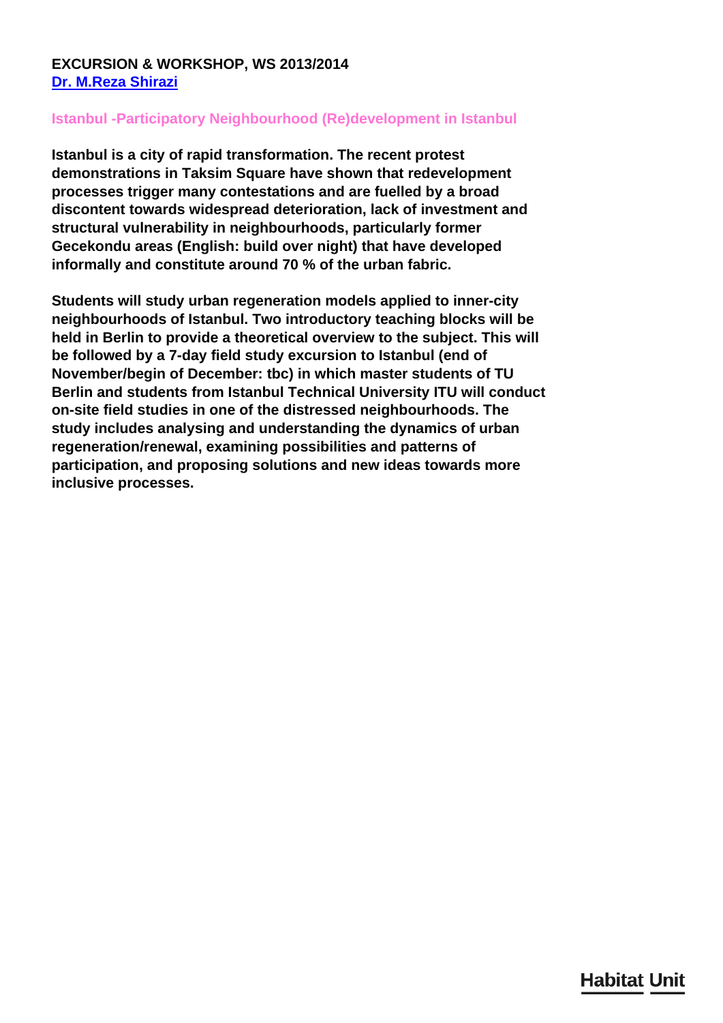## **EXCURSION & WORKSHOP, WS 2013/2014 [Dr. M.Reza Shirazi](/en/team/reza-shirazi/)**

## **Istanbul -Participatory Neighbourhood (Re)development in Istanbul**

**Istanbul is a city of rapid transformation. The recent protest demonstrations in Taksim Square have shown that redevelopment processes trigger many contestations and are fuelled by a broad discontent towards widespread deterioration, lack of investment and structural vulnerability in neighbourhoods, particularly former Gecekondu areas (English: build over night) that have developed informally and constitute around 70 % of the urban fabric.**

**Students will study urban regeneration models applied to inner-city neighbourhoods of Istanbul. Two introductory teaching blocks will be held in Berlin to provide a theoretical overview to the subject. This will be followed by a 7-day field study excursion to Istanbul (end of November/begin of December: tbc) in which master students of TU Berlin and students from Istanbul Technical University ITU will conduct on-site field studies in one of the distressed neighbourhoods. The study includes analysing and understanding the dynamics of urban regeneration/renewal, examining possibilities and patterns of participation, and proposing solutions and new ideas towards more inclusive processes.**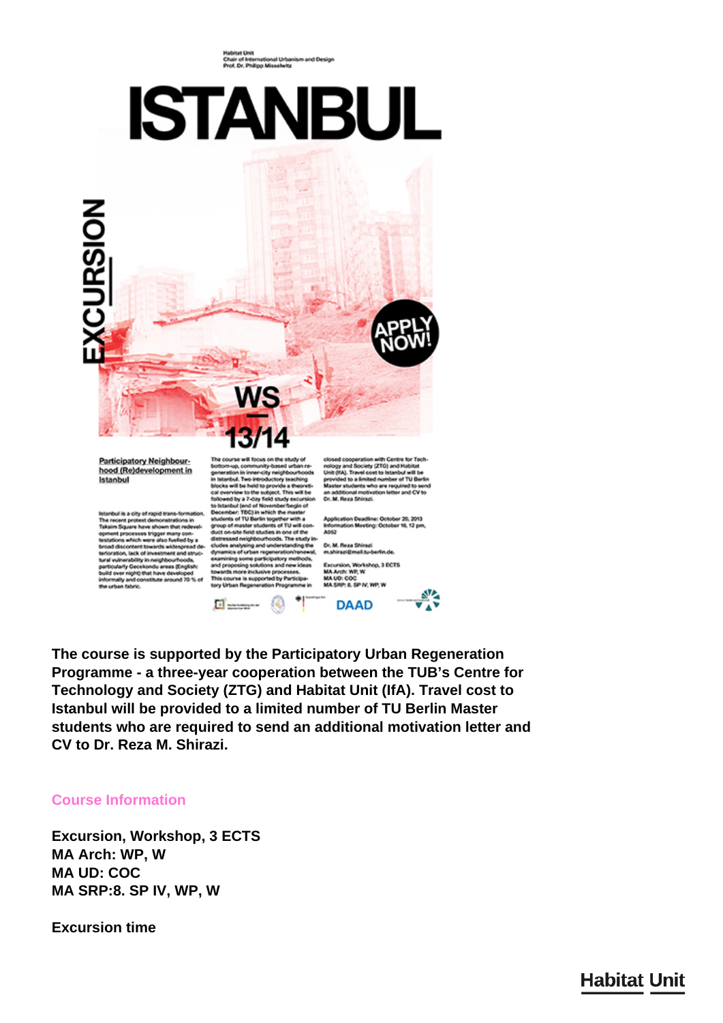Habitat Unit<br>Chair of International Urbanism and Design<br>Prof. Dr. Philipp Misselwitz

## **ISTANBUL**



Participatory Neighbourhood (Re)development in Istanbul

Istanbul is a city of rapid trans-formation.<br>The recent protest demonstrations in Talaim Square have allowed operators operator<br>spinned processes trigger many con-<br>terminol processes trigger many con-<br>teratorics, witch wer

nup, community-based urban re-<br>ation in inner-city neighbourhoods<br>ribul. Two introductory teaching in meanwa, the held to provide a theoret<br>blocks will be held to provide a theoret<br>cal overview to the subject. This will be<br>followed by a 7-day field study excursic io Istanbul (end of November/begin of<br>December: TDC) in which the master ember: TDC) in which the master<br>sends of TU Berin together with a<br>specifically distributed by the master shockeds of TU will contained<br>and constant in the master shocked in the study lin-<br>research neighbourhoods. The study  $\Box$  =  $\Box$  $\bullet$ 

closed cooperation with Centre for Tech-<br>nology and Society (ZTG) and Habitat<br>Unit (HA). Travel cost to Intenbut with the<br>provided to a limited number of TU Berlin<br>Master students who are required to send<br>an additional mot

ın Deadline: October 20, 2013<br>ın Meeting: October 16, 12 pm Infor<br>A052

Dr. M. Reza Shirazi<br>m.shirazi@mail.tu-b Excursion, Workshop, 3 ECTS<br>MA Anth: WP. W **MA UD: COC** MA SRP: 8. SP IV, WP, W



**The course is supported by the Participatory Urban Regeneration Programme - a three-year cooperation between the TUB's Centre for Technology and Society (ZTG) and Habitat Unit (IfA). Travel cost to Istanbul will be provided to a limited number of TU Berlin Master students who are required to send an additional motivation letter and CV to Dr. Reza M. Shirazi.**

## **Course Information**

**Excursion, Workshop, 3 ECTS MA Arch: WP, W MA UD: COC MA SRP:8. SP IV, WP, W**

**Excursion time**